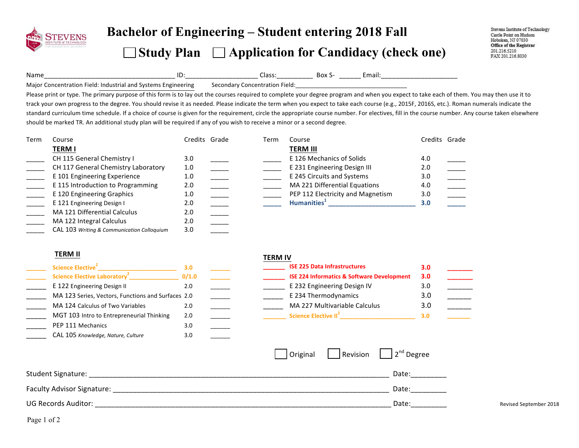

## **Bachelor of Engineering – Student entering 2018 Fall**

### □ Study Plan □ Application for Candidacy (check one)

Stevens Institute of Technology Castle Point on Hudson Hoboken, NJ 07030 Office of the Registrar 201.216.5210 FAX 201.216.8030

Name\_\_\_\_\_\_\_\_\_\_\_\_\_\_\_\_\_\_\_\_\_\_\_\_\_\_\_\_\_\_\_\_\_\_\_\_ ID:\_\_\_\_\_\_\_\_\_\_\_\_\_\_\_\_\_\_\_\_ Class:\_\_\_\_\_\_\_\_\_\_ Box S- \_\_\_\_\_\_ Email:\_\_\_\_\_\_\_\_\_\_\_\_\_\_\_\_\_\_\_\_\_ 

Major Concentration Field: Industrial and Systems Engineering Secondary Concentration Field:

Please print or type. The primary purpose of this form is to lay out the courses required to complete your degree program and when you expect to take each of them. You may then use it to track your own progress to the degree. You should revise it as needed. Please indicate the term when you expect to take each course (e.g., 2015F, 2016S, etc.). Roman numerals indicate the standard curriculum time schedule. If a choice of course is given for the requirement, circle the appropriate course number. For electives, fill in the course number. Any course taken elsewhere should be marked TR. An additional study plan will be required if any of you wish to receive a minor or a second degree.

| Term | Course                                     | Credits Grade | Term | Course                            | Credits Grade |  |
|------|--------------------------------------------|---------------|------|-----------------------------------|---------------|--|
|      | <b>TERM I</b>                              |               |      | <b>TERM III</b>                   |               |  |
|      | CH 115 General Chemistry I                 | 3.0           |      | E 126 Mechanics of Solids         | 4.0           |  |
|      | CH 117 General Chemistry Laboratory        | 1.0           |      | E 231 Engineering Design III      | 2.0           |  |
|      | E 101 Engineering Experience               | 1.0           |      | E 245 Circuits and Systems        | 3.0           |  |
|      | E 115 Introduction to Programming          | 2.0           |      | MA 221 Differential Equations     | 4.0           |  |
|      | E 120 Engineering Graphics                 | 1.0           |      | PEP 112 Electricity and Magnetism | 3.0           |  |
|      | E 121 Engineering Design I                 | 2.0           |      | Humanities <sup>+</sup>           | 3.0           |  |
|      | MA 121 Differential Calculus               | 2.0           |      |                                   |               |  |
|      | MA 122 Integral Calculus                   | 2.0           |      |                                   |               |  |
|      | CAL 103 Writing & Communication Colloquium | 3.0           |      |                                   |               |  |

### **TERM II**

| Science Elective <sup>2</sup>                      | 3.0   |  | <b>ISE 225 Data Infrastructures</b>                   | 3.0 |
|----------------------------------------------------|-------|--|-------------------------------------------------------|-----|
| Science Elective Laboratory <sup>2</sup>           | 0/1.0 |  | <b>ISE 224 Informatics &amp; Software Development</b> | 3.0 |
| E 122 Engineering Design II                        | 2.0   |  | E 232 Engineering Design IV                           | 3.0 |
| MA 123 Series, Vectors, Functions and Surfaces 2.0 |       |  | E 234 Thermodynamics                                  | 3.0 |
| MA 124 Calculus of Two Variables                   | 2.0   |  | MA 227 Multivariable Calculus                         | 3.0 |
| MGT 103 Intro to Entrepreneurial Thinking          | 2.0   |  | Science Elective II <sup>2</sup>                      | 3.0 |
| PEP 111 Mechanics                                  | 3.0   |  |                                                       |     |
| CAL 105 Knowledge, Nature, Culture                 | 3.0   |  |                                                       |     |

#### **TERM IV**

|                         | 3.0   |  | <b>ISE 225 Data Infrastructures</b>                   | 3.0 |  |
|-------------------------|-------|--|-------------------------------------------------------|-----|--|
|                         | 0/1.0 |  | <b>ISE 224 Informatics &amp; Software Development</b> | 3.0 |  |
|                         | 2.0   |  | E 232 Engineering Design IV                           | 3.0 |  |
| ctions and Surfaces 2.0 |       |  | E 234 Thermodynamics                                  | 3.0 |  |
| iables <sup>.</sup>     | 2.0   |  | MA 227 Multivariable Calculus                         | 3.0 |  |
| eurial Thinking         | 2.0   |  | Science Elective II <sup>2</sup>                      | 3.0 |  |
|                         |       |  |                                                       |     |  |

|                            |  | $\vert$ Original $\vert$ Revision $\vert$ $\vert$ 2 <sup>nd</sup> Degree |                        |
|----------------------------|--|--------------------------------------------------------------------------|------------------------|
| Student Signature:         |  | Date:                                                                    |                        |
| Faculty Advisor Signature: |  | Date:                                                                    |                        |
| <b>UG Records Auditor:</b> |  | Date:                                                                    | Revised September 2018 |